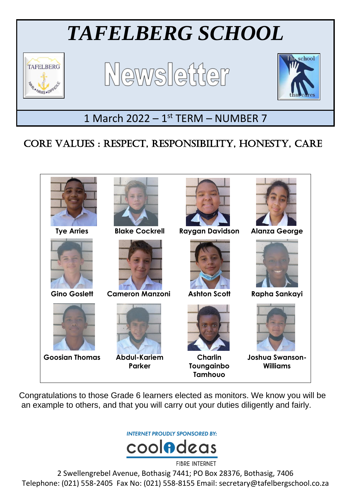

# CORE VALUES : RESPECT, RESPONSIBILITY, HONESTY, CARE

Ξ



Congratulations to those Grade 6 learners elected as monitors. We know you will be an example to others, and that you will carry out your duties diligently and fairly.

**INTERNET PROUDLY SPONSORED BY:** 



2 Swellengrebel Avenue, Bothasig 7441; PO Box 28376, Bothasig, 7406 Telephone: (021) 558-2405 Fax No: (021) 558-8155 Email: secretary@tafelbergschool.co.za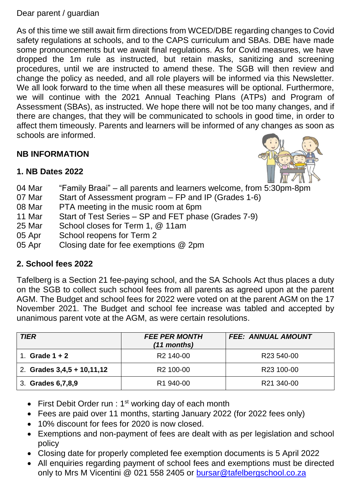Dear parent / guardian

As of this time we still await firm directions from WCED/DBE regarding changes to Covid safety regulations at schools, and to the CAPS curriculum and SBAs. DBE have made some pronouncements but we await final regulations. As for Covid measures, we have dropped the 1m rule as instructed, but retain masks, sanitizing and screening procedures, until we are instructed to amend these. The SGB will then review and change the policy as needed, and all role players will be informed via this Newsletter. We all look forward to the time when all these measures will be optional. Furthermore, we will continue with the 2021 Annual Teaching Plans (ATPs) and Program of Assessment (SBAs), as instructed. We hope there will not be too many changes, and if there are changes, that they will be communicated to schools in good time, in order to affect them timeously. Parents and learners will be informed of any changes as soon as schools are informed.

# **NB INFORMATION**



#### **1. NB Dates 2022**

- 04 Mar "Family Braai" all parents and learners welcome, from 5:30pm-8pm
- 07 Mar Start of Assessment program FP and IP (Grades 1-6)
- 08 Mar PTA meeting in the music room at 6pm
- 11 Mar Start of Test Series SP and FET phase (Grades 7-9)
- 25 Mar School closes for Term 1, @ 11am
- 05 Apr School reopens for Term 2
- 05 Apr Closing date for fee exemptions @ 2pm

#### **2. School fees 2022**

Tafelberg is a Section 21 fee-paying school, and the SA Schools Act thus places a duty on the SGB to collect such school fees from all parents as agreed upon at the parent AGM. The Budget and school fees for 2022 were voted on at the parent AGM on the 17 November 2021. The Budget and school fee increase was tabled and accepted by unanimous parent vote at the AGM, as were certain resolutions.

| <b>TIER</b>                | <b>FEE PER MONTH</b><br>(11 months) | <b>FEE: ANNUAL AMOUNT</b> |
|----------------------------|-------------------------------------|---------------------------|
| Grade $1 + 2$              | R <sub>2</sub> 140-00               | R <sub>23</sub> 540-00    |
| 2. Grades 3,4,5 + 10,11,12 | R <sub>2</sub> 100-00               | R <sub>23</sub> 100-00    |
| 3. Grades 6,7,8,9          | R <sub>1</sub> 940-00               | R21 340-00                |

- First Debit Order run :  $1<sup>st</sup>$  working day of each month
- Fees are paid over 11 months, starting January 2022 (for 2022 fees only)
- 10% discount for fees for 2020 is now closed.
- Exemptions and non-payment of fees are dealt with as per legislation and school policy
- Closing date for properly completed fee exemption documents is 5 April 2022
- All enquiries regarding payment of school fees and exemptions must be directed only to Mrs M Vicentini @ 021 558 2405 or [bursar@tafelbergschool.co.za](mailto:bursar@tafelbergschool.co.za)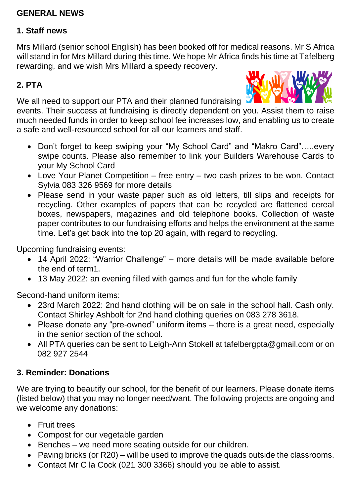### **GENERAL NEWS**

#### **1. Staff news**

Mrs Millard (senior school English) has been booked off for medical reasons. Mr S Africa will stand in for Mrs Millard during this time. We hope Mr Africa finds his time at Tafelberg rewarding, and we wish Mrs Millard a speedy recovery.

### **2. PTA**

We all need to support our PTA and their planned fundraising



events. Their success at fundraising is directly dependent on you. Assist them to raise much needed funds in order to keep school fee increases low, and enabling us to create a safe and well-resourced school for all our learners and staff.

- Don't forget to keep swiping your "My School Card" and "Makro Card"…..every swipe counts. Please also remember to link your Builders Warehouse Cards to your My School Card
- Love Your Planet Competition free entry two cash prizes to be won. Contact Sylvia 083 326 9569 for more details
- Please send in your waste paper such as old letters, till slips and receipts for recycling. Other examples of papers that can be recycled are flattened cereal boxes, newspapers, magazines and old telephone books. Collection of waste paper contributes to our fundraising efforts and helps the environment at the same time. Let's get back into the top 20 again, with regard to recycling.

Upcoming fundraising events:

- 14 April 2022: "Warrior Challenge" more details will be made available before the end of term1.
- 13 May 2022: an evening filled with games and fun for the whole family

Second-hand uniform items:

- 23rd March 2022: 2nd hand clothing will be on sale in the school hall. Cash only. Contact Shirley Ashbolt for 2nd hand clothing queries on 083 278 3618.
- Please donate any "pre-owned" uniform items there is a great need, especially in the senior section of the school.
- All PTA queries can be sent to Leigh-Ann Stokell at tafelbergpta@gmail.com or on 082 927 2544

#### **3. Reminder: Donations**

We are trying to beautify our school, for the benefit of our learners. Please donate items (listed below) that you may no longer need/want. The following projects are ongoing and we welcome any donations:

- **•** Fruit trees
- Compost for our vegetable garden
- Benches we need more seating outside for our children.
- Paving bricks (or R20) will be used to improve the quads outside the classrooms.
- Contact Mr C la Cock (021 300 3366) should you be able to assist.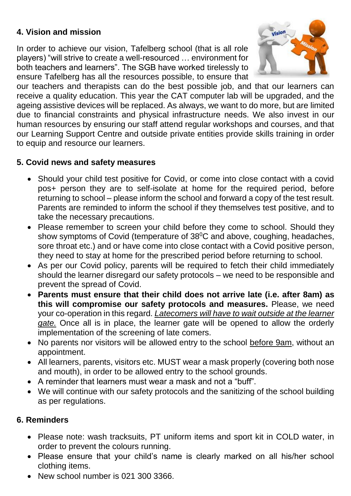# **4. Vision and mission**

In order to achieve our vision, Tafelberg school (that is all role players) "will strive to create a well-resourced … environment for both teachers and learners". The SGB have worked tirelessly to ensure Tafelberg has all the resources possible, to ensure that



our teachers and therapists can do the best possible job, and that our learners can receive a quality education. This year the CAT computer lab will be upgraded, and the ageing assistive devices will be replaced. As always, we want to do more, but are limited due to financial constraints and physical infrastructure needs. We also invest in our human resources by ensuring our staff attend regular workshops and courses, and that our Learning Support Centre and outside private entities provide skills training in order to equip and resource our learners.

# **5. Covid news and safety measures**

- Should your child test positive for Covid, or come into close contact with a covid pos+ person they are to self-isolate at home for the required period, before returning to school – please inform the school and forward a copy of the test result. Parents are reminded to inform the school if they themselves test positive, and to take the necessary precautions.
- Please remember to screen your child before they come to school. Should they show symptoms of Covid (temperature of  $38^{\circ}$ C and above, coughing, headaches, sore throat etc.) and or have come into close contact with a Covid positive person, they need to stay at home for the prescribed period before returning to school.
- As per our Covid policy, parents will be required to fetch their child immediately should the learner disregard our safety protocols – we need to be responsible and prevent the spread of Covid.
- **Parents must ensure that their child does not arrive late (i.e. after 8am) as this will compromise our safety protocols and measures.** Please, we need your co-operation in this regard. *Latecomers will have to wait outside at the learner gate.* Once all is in place, the learner gate will be opened to allow the orderly implementation of the screening of late comers.
- No parents nor visitors will be allowed entry to the school before 9am, without an appointment.
- All learners, parents, visitors etc. MUST wear a mask properly (covering both nose and mouth), in order to be allowed entry to the school grounds.
- A reminder that learners must wear a mask and not a "buff".
- We will continue with our safety protocols and the sanitizing of the school building as per regulations.

#### **6. Reminders**

- Please note: wash tracksuits, PT uniform items and sport kit in COLD water, in order to prevent the colours running.
- Please ensure that your child's name is clearly marked on all his/her school clothing items.
- New school number is 021 300 3366.